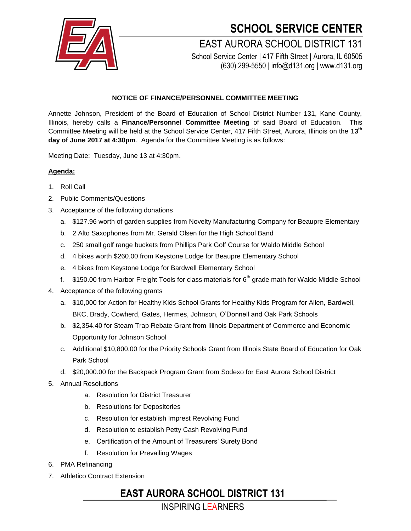

## **SCHOOL SERVICE CENTER**

EAST AURORA SCHOOL DISTRICT 131 School Service Center | 417 Fifth Street | Aurora, IL 60505 (630) 299-5550 | info@d131.org | www.d131.org

### **NOTICE OF FINANCE/PERSONNEL COMMITTEE MEETING**

Annette Johnson, President of the Board of Education of School District Number 131, Kane County, Illinois, hereby calls a **Finance/Personnel Committee Meeting** of said Board of Education. This Committee Meeting will be held at the School Service Center, 417 Fifth Street, Aurora, Illinois on the **13th day of June 2017 at 4:30pm**. Agenda for the Committee Meeting is as follows:

Meeting Date: Tuesday, June 13 at 4:30pm.

#### **Agenda:**

- 1. Roll Call
- 2. Public Comments/Questions
- 3. Acceptance of the following donations
	- a. \$127.96 worth of garden supplies from Novelty Manufacturing Company for Beaupre Elementary
	- b. 2 Alto Saxophones from Mr. Gerald Olsen for the High School Band
	- c. 250 small golf range buckets from Phillips Park Golf Course for Waldo Middle School
	- d. 4 bikes worth \$260.00 from Keystone Lodge for Beaupre Elementary School
	- e. 4 bikes from Keystone Lodge for Bardwell Elementary School
	- f.  $$150.00$  from Harbor Freight Tools for class materials for 6<sup>th</sup> grade math for Waldo Middle School
- 4. Acceptance of the following grants
	- a. \$10,000 for Action for Healthy Kids School Grants for Healthy Kids Program for Allen, Bardwell, BKC, Brady, Cowherd, Gates, Hermes, Johnson, O'Donnell and Oak Park Schools
	- b. \$2,354.40 for Steam Trap Rebate Grant from Illinois Department of Commerce and Economic Opportunity for Johnson School
	- c. Additional \$10,800.00 for the Priority Schools Grant from Illinois State Board of Education for Oak Park School
	- d. \$20,000.00 for the Backpack Program Grant from Sodexo for East Aurora School District
- 5. Annual Resolutions
	- a. Resolution for District Treasurer
	- b. Resolutions for Depositories
	- c. Resolution for establish Imprest Revolving Fund
	- d. Resolution to establish Petty Cash Revolving Fund
	- e. Certification of the Amount of Treasurers' Surety Bond
	- f. Resolution for Prevailing Wages
- 6. PMA Refinancing
- 7. Athletico Contract Extension

### **EAST AURORA SCHOOL DISTRICT 131**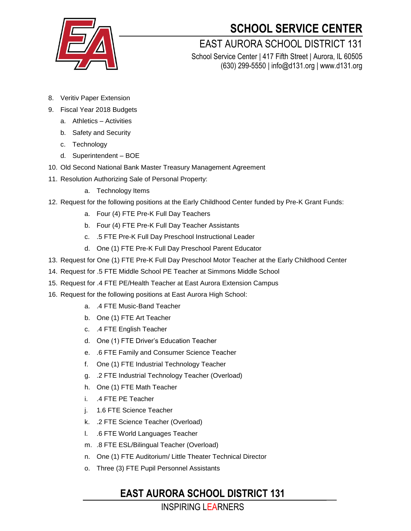

# **SCHOOL SERVICE CENTER**

EAST AURORA SCHOOL DISTRICT 131 School Service Center | 417 Fifth Street | Aurora, IL 60505 (630) 299-5550 | info@d131.org | www.d131.org

- 8. Veritiv Paper Extension
- 9. Fiscal Year 2018 Budgets
	- a. Athletics Activities
	- b. Safety and Security
	- c. Technology
	- d. Superintendent BOE
- 10. Old Second National Bank Master Treasury Management Agreement
- 11. Resolution Authorizing Sale of Personal Property:
	- a. Technology Items
- 12. Request for the following positions at the Early Childhood Center funded by Pre-K Grant Funds:
	- a. Four (4) FTE Pre-K Full Day Teachers
	- b. Four (4) FTE Pre-K Full Day Teacher Assistants
	- c. .5 FTE Pre-K Full Day Preschool Instructional Leader
	- d. One (1) FTE Pre-K Full Day Preschool Parent Educator
- 13. Request for One (1) FTE Pre-K Full Day Preschool Motor Teacher at the Early Childhood Center
- 14. Request for .5 FTE Middle School PE Teacher at Simmons Middle School
- 15. Request for .4 FTE PE/Health Teacher at East Aurora Extension Campus
- 16. Request for the following positions at East Aurora High School:
	- a. .4 FTE Music-Band Teacher
	- b. One (1) FTE Art Teacher
	- c. .4 FTE English Teacher
	- d. One (1) FTE Driver's Education Teacher
	- e. .6 FTE Family and Consumer Science Teacher
	- f. One (1) FTE Industrial Technology Teacher
	- g. .2 FTE Industrial Technology Teacher (Overload)
	- h. One (1) FTE Math Teacher
	- i. .4 FTE PE Teacher
	- j. 1.6 FTE Science Teacher
	- k. .2 FTE Science Teacher (Overload)
	- l. .6 FTE World Languages Teacher
	- m. .8 FTE ESL/Bilingual Teacher (Overload)
	- n. One (1) FTE Auditorium/ Little Theater Technical Director
	- o. Three (3) FTE Pupil Personnel Assistants

## **EAST AURORA SCHOOL DISTRICT 131**